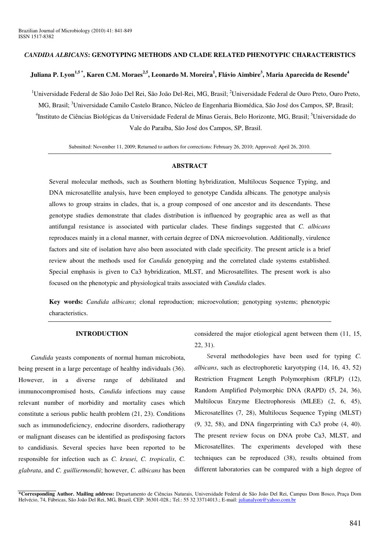### *CANDIDA ALBICANS***: GENOTYPING METHODS AND CLADE RELATED PHENOTYPIC CHARACTERISTICS**

# Juliana P. Lyon<sup>1,5</sup>\*, Karen C.M. Moraes<sup>2,5</sup>, Leonardo M. Moreira<sup>1</sup>, Flávio Aimbire<sup>3</sup>, Maria Aparecida de Resende<sup>4</sup>

<sup>1</sup>Universidade Federal de São João Del Rei, São João Del-Rei, MG, Brasil; <sup>2</sup>Universidade Federal de Ouro Preto, Ouro Preto, MG, Brasil; <sup>3</sup>Universidade Camilo Castelo Branco, Núcleo de Engenharia Biomédica, São José dos Campos, SP, Brasil; <sup>4</sup>Instituto de Ciências Biológicas da Universidade Federal de Minas Gerais, Belo Horizonte, MG, Brasil; <sup>5</sup>Universidade do Vale do Paraíba, São José dos Campos, SP, Brasil.

Submitted: November 11, 2009; Returned to authors for corrections: February 26, 2010; Approved: April 26, 2010.

#### **ABSTRACT**

Several molecular methods, such as Southern blotting hybridization, Multilocus Sequence Typing, and DNA microsatellite analysis, have been employed to genotype Candida albicans. The genotype analysis allows to group strains in clades, that is, a group composed of one ancestor and its descendants. These genotype studies demonstrate that clades distribution is influenced by geographic area as well as that antifungal resistance is associated with particular clades. These findings suggested that *C. albicans* reproduces mainly in a clonal manner, with certain degree of DNA microevolution. Additionally, virulence factors and site of isolation have also been associated with clade specificity. The present article is a brief review about the methods used for *Candida* genotyping and the correlated clade systems established. Special emphasis is given to Ca3 hybridization, MLST, and Microsatellites. The present work is also focused on the phenotypic and physiological traits associated with *Candida* clades.

**Key words:** *Candida albicans*; clonal reproduction; microevolution; genotyping systems; phenotypic characteristics.

### **INTRODUCTION**

*Candida* yeasts components of normal human microbiota, being present in a large percentage of healthy individuals (36). However, in a diverse range of debilitated and immunocompromised hosts, *Candida* infections may cause relevant number of morbidity and mortality cases which constitute a serious public health problem (21, 23). Conditions such as immunodeficiency, endocrine disorders, radiotherapy or malignant diseases can be identified as predisposing factors to candidiasis. Several species have been reported to be responsible for infection such as *C. krusei*, *C. tropicalis*, *C. glabrata*, and *C. guilliermondii*; however, *C. albicans* has been considered the major etiological agent between them (11, 15, 22, 31).

Several methodologies have been used for typing *C. albicans*, such as electrophoretic karyotyping (14, 16, 43, 52) Restriction Fragment Length Polymorphism (RFLP) (12), Random Amplified Polymorphic DNA (RAPD) (5, 24, 36), Multilocus Enzyme Electrophoresis (MLEE) (2, 6, 45), Microsatellites (7, 28), Multilocus Sequence Typing (MLST) (9, 32, 58), and DNA fingerprinting with Ca3 probe (4, 40). The present review focus on DNA probe Ca3, MLST, and Microsatellites. The experiments developed with these techniques can be reproduced (38), results obtained from different laboratories can be compared with a high degree of

**<sup>\*</sup>Corresponding Author. Mailing address:** Departamento de Ciências Naturais, Universidade Federal de São João Del Rei, Campus Dom Bosco, Praça Dom Helvécio, 74, Fábricas, São João Del Rei, MG, Brazil, CEP: 36301-028.; Tel.: 55 32 33714013.; E-mail: julianalyon@yahoo.com.br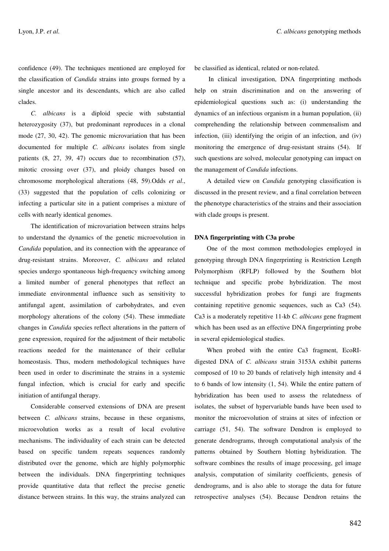confidence (49). The techniques mentioned are employed for the classification of *Candida* strains into groups formed by a single ancestor and its descendants, which are also called clades.

*C. albicans* is a diploid specie with substantial heterozygosity (37), but predominant reproduces in a clonal mode (27, 30, 42). The genomic microvariation that has been documented for multiple *C. albicans* isolates from single patients (8, 27, 39, 47) occurs due to recombination (57), mitotic crossing over (37), and ploidy changes based on chromosome morphological alterations (48, 59).Odds *et al*., (33) suggested that the population of cells colonizing or infecting a particular site in a patient comprises a mixture of cells with nearly identical genomes.

The identification of microvariation between strains helps to understand the dynamics of the genetic microevolution in *Candida* population, and its connection with the appearance of drug-resistant strains. Moreover, *C. albicans* and related species undergo spontaneous high-frequency switching among a limited number of general phenotypes that reflect an immediate environmental influence such as sensitivity to antifungal agent, assimilation of carbohydrates, and even morphology alterations of the colony (54). These immediate changes in *Candida* species reflect alterations in the pattern of gene expression, required for the adjustment of their metabolic reactions needed for the maintenance of their cellular homeostasis. Thus, modern methodological techniques have been used in order to discriminate the strains in a systemic fungal infection, which is crucial for early and specific initiation of antifungal therapy.

Considerable conserved extensions of DNA are present between *C. albicans* strains, because in these organisms, microevolution works as a result of local evolutive mechanisms. The individuality of each strain can be detected based on specific tandem repeats sequences randomly distributed over the genome, which are highly polymorphic between the individuals. DNA fingerprinting techniques provide quantitative data that reflect the precise genetic distance between strains. In this way, the strains analyzed can be classified as identical, related or non-related.

In clinical investigation, DNA fingerprinting methods help on strain discrimination and on the answering of epidemiological questions such as: (i) understanding the dynamics of an infectious organism in a human population, (ii) comprehending the relationship between commensalism and infection, (iii) identifying the origin of an infection, and (iv) monitoring the emergence of drug-resistant strains (54). If such questions are solved, molecular genotyping can impact on the management of *Candida* infections.

A detailed view on *Candida* genotyping classification is discussed in the present review, and a final correlation between the phenotype characteristics of the strains and their association with clade groups is present.

#### **DNA fingerprinting with C3a probe**

One of the most common methodologies employed in genotyping through DNA fingerprinting is Restriction Length Polymorphism (RFLP) followed by the Southern blot technique and specific probe hybridization. The most successful hybridization probes for fungi are fragments containing repetitive genomic sequences, such as Ca3 (54). Ca3 is a moderately repetitive 11-kb *C. albicans* gene fragment which has been used as an effective DNA fingerprinting probe in several epidemiological studies.

When probed with the entire Ca3 fragment, EcoRIdigested DNA of *C. albicans* strain 3153A exhibit patterns composed of 10 to 20 bands of relatively high intensity and 4 to 6 bands of low intensity (1, 54). While the entire pattern of hybridization has been used to assess the relatedness of isolates, the subset of hypervariable bands have been used to monitor the microevolution of strains at sites of infection or carriage (51, 54). The software Dendron is employed to generate dendrograms, through computational analysis of the patterns obtained by Southern blotting hybridization. The software combines the results of image processing, gel image analysis, computation of similarity coefficients, genesis of dendrograms, and is also able to storage the data for future retrospective analyses (54). Because Dendron retains the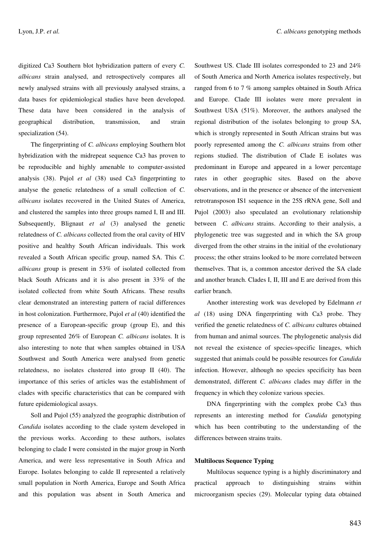digitized Ca3 Southern blot hybridization pattern of every *C. albicans* strain analysed, and retrospectively compares all newly analysed strains with all previously analysed strains, a data bases for epidemiological studies have been developed. These data have been considered in the analysis of geographical distribution, transmission, and strain specialization (54).

The fingerprinting of *C. albicans* employing Southern blot hybridization with the midrepeat sequence Ca3 has proven to be reproducible and highly amenable to computer-assisted analysis (38). Pujol *et al* (38) used Ca3 fingerprinting to analyse the genetic relatedness of a small collection of *C. albicans* isolates recovered in the United States of America, and clustered the samples into three groups named I, II and III. Subsequently, Blignaut *et al* (3) analysed the genetic relatedness of *C. albicans* collected from the oral cavity of HIV positive and healthy South African individuals. This work revealed a South African specific group, named SA. This *C. albicans* group is present in 53% of isolated collected from black South Africans and it is also present in 33% of the isolated collected from white South Africans. These results clear demonstrated an interesting pattern of racial differences in host colonization. Furthermore, Pujol *et al* (40) identified the presence of a European-specific group (group E), and this group represented 26% of European *C. albicans* isolates. It is also interesting to note that when samples obtained in USA Southwest and South America were analysed from genetic relatedness, no isolates clustered into group II (40). The importance of this series of articles was the establishment of clades with specific characteristics that can be compared with future epidemiological assays.

Soll and Pujol (55) analyzed the geographic distribution of *Candida* isolates according to the clade system developed in the previous works. According to these authors, isolates belonging to clade I were consisted in the major group in North America, and were less representative in South Africa and Europe. Isolates belonging to calde II represented a relatively small population in North America, Europe and South Africa and this population was absent in South America and

Southwest US. Clade III isolates corresponded to 23 and 24% of South America and North America isolates respectively, but ranged from 6 to 7 % among samples obtained in South Africa and Europe. Clade III isolates were more prevalent in Southwest USA (51%). Moreover, the authors analysed the regional distribution of the isolates belonging to group SA, which is strongly represented in South African strains but was poorly represented among the *C. albicans* strains from other regions studied. The distribution of Clade E isolates was predominant in Europe and appeared in a lower percentage rates in other geographic sites. Based on the above observations, and in the presence or absence of the intervenient retrotransposon IS1 sequence in the 25S rRNA gene, Soll and Pujol (2003) also speculated an evolutionary relationship between *C. albicans* strains. According to their analysis, a phylogenetic tree was suggested and in which the SA group diverged from the other strains in the initial of the evolutionary process; the other strains looked to be more correlated between themselves. That is, a common ancestor derived the SA clade and another branch. Clades I, II, III and E are derived from this earlier branch.

Another interesting work was developed by Edelmann *et al* (18) using DNA fingerprinting with Ca3 probe. They verified the genetic relatedness of *C. albicans* cultures obtained from human and animal sources. The phylogenetic analysis did not reveal the existence of species-specific lineages, which suggested that animals could be possible resources for *Candida* infection. However, although no species specificity has been demonstrated, different *C. albicans* clades may differ in the frequency in which they colonize various species.

DNA fingerprinting with the complex probe Ca3 thus represents an interesting method for *Candida* genotyping which has been contributing to the understanding of the differences between strains traits.

## **Multilocus Sequence Typing**

Multilocus sequence typing is a highly discriminatory and practical approach to distinguishing strains within microorganism species (29). Molecular typing data obtained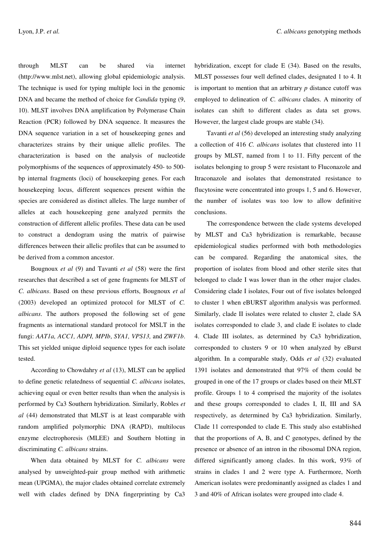through MLST can be shared via internet (http://www.mlst.net), allowing global epidemiologic analysis. The technique is used for typing multiple loci in the genomic DNA and became the method of choice for *Candida* typing (9, 10). MLST involves DNA amplification by Polymerase Chain Reaction (PCR) followed by DNA sequence. It measures the DNA sequence variation in a set of housekeeping genes and characterizes strains by their unique allelic profiles. The characterization is based on the analysis of nucleotide polymorphisms of the sequences of approximately 450- to 500 bp internal fragments (loci) of housekeeping genes. For each housekeeping locus, different sequences present within the species are considered as distinct alleles. The large number of alleles at each housekeeping gene analyzed permits the construction of different allelic profiles. These data can be used to construct a dendogram using the matrix of pairwise differences between their allelic profiles that can be assumed to be derived from a common ancestor.

Bougnoux *et al* (9) and Tavanti *et al* (58) were the first researches that described a set of gene fragments for MLST of *C. albicans*. Based on these previous efforts, Bougnoux *et al* (2003) developed an optimized protocol for MLST of *C. albicans*. The authors proposed the following set of gene fragments as international standard protocol for MSLT in the fungi: *AAT1a, ACC1, ADPI, MPIb*, *SYA1, VPS13,* and *ZWF1b*. This set yielded unique diploid sequence types for each isolate tested.

According to Chowdahry *et al* (13), MLST can be applied to define genetic relatedness of sequential *C. albicans* isolates, achieving equal or even better results than when the analysis is performed by Ca3 Southern hybridization. Similarly, Robles *et al* (44) demonstrated that MLST is at least comparable with random amplified polymorphic DNA (RAPD), multilocus enzyme electrophoresis (MLEE) and Southern blotting in discriminating *C. albicans* strains.

When data obtained by MLST for *C. albicans* were analysed by unweighted-pair group method with arithmetic mean (UPGMA), the major clades obtained correlate extremely well with clades defined by DNA fingerprinting by Ca3 hybridization, except for clade E (34). Based on the results, MLST possesses four well defined clades, designated 1 to 4. It is important to mention that an arbitrary *p* distance cutoff was employed to delineation of *C. albicans* clades. A minority of isolates can shift to different clades as data set grows. However, the largest clade groups are stable (34).

Tavanti *et al* (56) developed an interesting study analyzing a collection of 416 *C. albicans* isolates that clustered into 11 groups by MLST, named from 1 to 11. Fifty percent of the isolates belonging to group 5 were resistant to Fluconazole and Itraconazole and isolates that demonstrated resistance to flucytosine were concentrated into groups 1, 5 and 6. However, the number of isolates was too low to allow definitive conclusions.

The correspondence between the clade systems developed by MLST and Ca3 hybridization is remarkable, because epidemiological studies performed with both methodologies can be compared. Regarding the anatomical sites, the proportion of isolates from blood and other sterile sites that belonged to clade I was lower than in the other major clades. Considering clade I isolates, Four out of five isolates belonged to cluster 1 when eBURST algorithm analysis was performed. Similarly, clade II isolates were related to cluster 2, clade SA isolates corresponded to clade 3, and clade E isolates to clade 4. Clade III isolates, as determined by Ca3 hybridization, corresponded to clusters 9 or 10 when analyzed by eBurst algorithm. In a comparable study, Odds *et al* (32) evaluated 1391 isolates and demonstrated that 97% of them could be grouped in one of the 17 groups or clades based on their MLST profile. Groups 1 to 4 comprised the majority of the isolates and these groups corresponded to clades I, II, III and SA respectively, as determined by Ca3 hybridization. Similarly, Clade 11 corresponded to clade E. This study also established that the proportions of A, B, and C genotypes, defined by the presence or absence of an intron in the ribosomal DNA region, differed significantly among clades. In this work, 93% of strains in clades 1 and 2 were type A. Furthermore, North American isolates were predominantly assigned as clades 1 and 3 and 40% of African isolates were grouped into clade 4.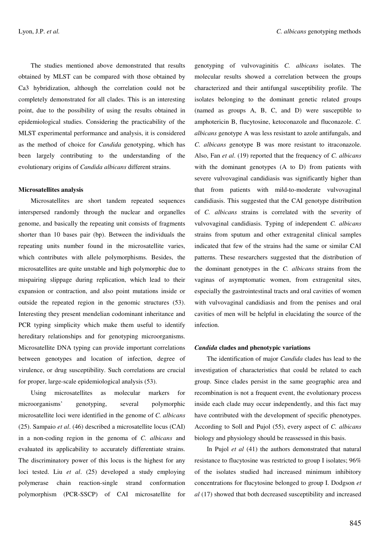The studies mentioned above demonstrated that results obtained by MLST can be compared with those obtained by Ca3 hybridization, although the correlation could not be completely demonstrated for all clades. This is an interesting point, due to the possibility of using the results obtained in epidemiological studies. Considering the practicability of the MLST experimental performance and analysis, it is considered as the method of choice for *Candida* genotyping, which has been largely contributing to the understanding of the evolutionary origins of *Candida albicans* different strains.

#### **Microsatellites analysis**

Microsatellites are short tandem repeated sequences interspersed randomly through the nuclear and organelles genome, and basically the repeating unit consists of fragments shorter than 10 bases pair (bp). Between the individuals the repeating units number found in the microsatellite varies, which contributes with allele polymorphisms. Besides, the microsatellites are quite unstable and high polymorphic due to mispairing slippage during replication, which lead to their expansion or contraction, and also point mutations inside or outside the repeated region in the genomic structures (53). Interesting they present mendelian codominant inheritance and PCR typing simplicity which make them useful to identify hereditary relationships and for genotyping microorganisms. Microsatellite DNA typing can provide important correlations between genotypes and location of infection, degree of virulence, or drug susceptibility. Such correlations are crucial for proper, large-scale epidemiological analysis (53).

Using microsatellites as molecular markers for microorganisms' genotyping, several polymorphic microsatellite loci were identified in the genome of *C. albicans* (25). Sampaio *et al*. (46) described a microsatellite locus (CAI) in a non-coding region in the genoma of *C. albicans* and evaluated its applicability to accurately differentiate strains. The discriminatory power of this locus is the highest for any loci tested. Liu *et al*. (25) developed a study employing polymerase chain reaction-single strand conformation polymorphism (PCR-SSCP) of CAI microsatellite for genotyping of vulvovaginitis *C. albicans* isolates. The molecular results showed a correlation between the groups characterized and their antifungal susceptibility profile. The isolates belonging to the dominant genetic related groups (named as groups A, B, C, and D) were susceptible to amphotericin B, flucytosine, ketoconazole and fluconazole. *C. albicans* genotype A was less resistant to azole antifungals, and *C. albicans* genotype B was more resistant to itraconazole. Also, Fan *et al*. (19) reported that the frequency of *C. albicans* with the dominant genotypes (A to D) from patients with severe vulvovaginal candidiasis was significantly higher than that from patients with mild-to-moderate vulvovaginal candidiasis. This suggested that the CAI genotype distribution of *C. albicans* strains is correlated with the severity of vulvovaginal candidiasis. Typing of independent *C. albicans* strains from sputum and other extragenital clinical samples indicated that few of the strains had the same or similar CAI patterns. These researchers suggested that the distribution of the dominant genotypes in the *C. albicans* strains from the vaginas of asymptomatic women, from extragenital sites, especially the gastrointestinal tracts and oral cavities of women with vulvovaginal candidiasis and from the penises and oral cavities of men will be helpful in elucidating the source of the infection.

## *Candida* **clades and phenotypic variations**

The identification of major *Candida* clades has lead to the investigation of characteristics that could be related to each group. Since clades persist in the same geographic area and recombination is not a frequent event, the evolutionary process inside each clade may occur independently, and this fact may have contributed with the development of specific phenotypes. According to Soll and Pujol (55), every aspect of *C. albicans* biology and physiology should be reassessed in this basis.

In Pujol *et al* (41) the authors demonstrated that natural resistance to flucytosine was restricted to group I isolates; 96% of the isolates studied had increased minimum inhibitory concentrations for flucytosine belonged to group I. Dodgson *et al* (17) showed that both decreased susceptibility and increased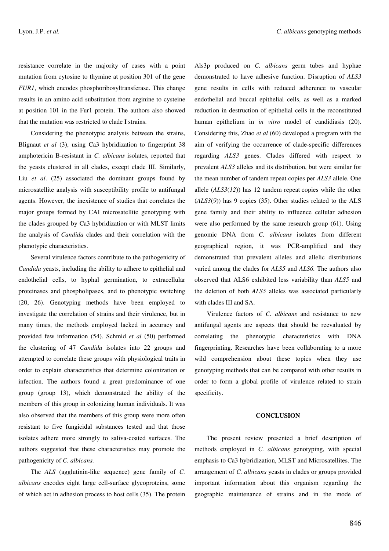resistance correlate in the majority of cases with a point mutation from cytosine to thymine at position 301 of the gene *FUR1*, which encodes phosphoribosyltransferase. This change results in an amino acid substitution from arginine to cysteine at position 101 in the Fur1 protein. The authors also showed that the mutation was restricted to clade I strains.

Considering the phenotypic analysis between the strains, Blignaut *et al* (3), using Ca3 hybridization to fingerprint 38 amphotericin B-resistant in *C. albicans* isolates, reported that the yeasts clustered in all clades, except clade III. Similarly, Liu *et al*. (25) associated the dominant groups found by microsatellite analysis with susceptibility profile to antifungal agents. However, the inexistence of studies that correlates the major groups formed by CAI microsatellite genotyping with the clades grouped by Ca3 hybridization or with MLST limits the analysis of *Candida* clades and their correlation with the phenotypic characteristics.

Several virulence factors contribute to the pathogenicity of *Candida* yeasts, including the ability to adhere to epithelial and endothelial cells, to hyphal germination, to extracellular proteinases and phospholipases, and to phenotypic switching (20, 26). Genotyping methods have been employed to investigate the correlation of strains and their virulence, but in many times, the methods employed lacked in accuracy and provided few information (54). Schmid *et al* (50) performed the clustering of 47 *Candida* isolates into 22 groups and attempted to correlate these groups with physiological traits in order to explain characteristics that determine colonization or infection. The authors found a great predominance of one group (group 13), which demonstrated the ability of the members of this group in colonizing human individuals. It was also observed that the members of this group were more often resistant to five fungicidal substances tested and that those isolates adhere more strongly to saliva-coated surfaces. The authors suggested that these characteristics may promote the pathogenicity of *C. albicans.*

The *ALS* (agglutinin-like sequence) gene family of *C. albicans* encodes eight large cell-surface glycoproteins, some of which act in adhesion process to host cells (35). The protein Als3p produced on *C. albicans* germ tubes and hyphae demonstrated to have adhesive function. Disruption of *ALS3* gene results in cells with reduced adherence to vascular endothelial and buccal epithelial cells, as well as a marked reduction in destruction of epithelial cells in the reconstituted human epithelium in *in vitro* model of candidiasis (20). Considering this, Zhao *et al* (60) developed a program with the aim of verifying the occurrence of clade-specific differences regarding *ALS3* genes. Clades differed with respect to prevalent *ALS3* alleles and its distribution, but were similar for the mean number of tandem repeat copies per *ALS3* allele. One allele (*ALS3*(*12*)) has 12 tandem repeat copies while the other (*ALS3*(*9*)) has 9 copies (35). Other studies related to the ALS gene family and their ability to influence cellular adhesion were also performed by the same research group (61). Using genomic DNA from *C. albicans* isolates from different geographical region, it was PCR-amplified and they demonstrated that prevalent alleles and allelic distributions varied among the clades for *ALS5* and *ALS6.* The authors also observed that ALS6 exhibited less variability than *ALS5* and the deletion of both *ALS5* alleles was associated particularly with clades III and SA.

Virulence factors of *C. albicans* and resistance to new antifungal agents are aspects that should be reevaluated by correlating the phenotypic characteristics with DNA fingerprinting. Researches have been collaborating to a more wild comprehension about these topics when they use genotyping methods that can be compared with other results in order to form a global profile of virulence related to strain specificity.

# **CONCLUSION**

The present review presented a brief description of methods employed in *C. albicans* genotyping, with special emphasis to Ca3 hybridization, MLST and Microsatellites. The arrangement of *C. albicans* yeasts in clades or groups provided important information about this organism regarding the geographic maintenance of strains and in the mode of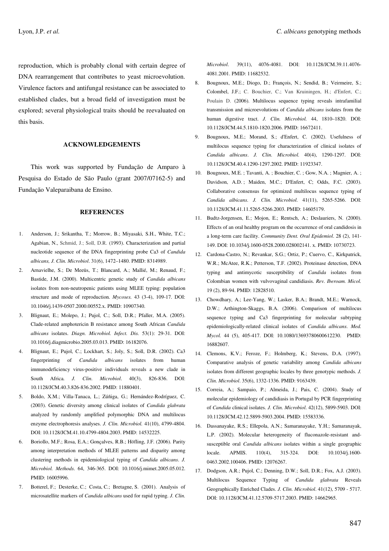reproduction, which is probably clonal with certain degree of DNA rearrangement that contributes to yeast microevolution. Virulence factors and antifungal resistance can be associated to established clades, but a broad field of investigation must be explored; several physiological traits should be reevaluated on this basis.

### **ACKNOWLEDGEMENTS**

This work was supported by Fundação de Amparo à Pesquisa do Estado de São Paulo (grant 2007/07162-5) and Fundação Valeparaibana de Ensino.

## **REFERENCES**

- 1. Anderson, J.; Srikantha, T.; Morrow, B.; Miyasaki, S.H., White, T.C.; Agabian, N., Schmid, J.; Soll, D.R. (1993). Characterization and partial nucleotide sequence of the DNA fingerprinting probe Ca3 of *Candida albicans, J. Clin. Microbiol*. 31(6), 1472–1480. PMID: 8314989.
- 2. Arnavielhe, S.; De Meeüs, T.; Blancard, A.; Mallié, M.; Renaud, F.; Bastide, J.M. (2000). Multicentric genetic study of *Candida albicans* isolates from non-neutropenic patients using MLEE typing: population structure and mode of reproduction. *Mycoses.* 43 (3-4), 109-17. DOI: 10.1046/j.1439-0507.2000.00552.x. PMID: 10907340.
- 3. Blignaut, E.; Molepo, J.; Pujol, C.; Soll, D.R.; Pfaller, M.A. (2005). Clade-related amphotericin B resistance among South African *Candida albicans* isolates. *Diagn. Microbiol. Infect. Dis.* 53(1): 29-31. DOI: 10.1016/j.diagmicrobio.2005.03.013. PMID: 16182076.
- 4. Blignaut, E.; Pujol, C.; Lockhart, S.; Joly, S.; Soll, D.R. (2002). Ca3 fingerprinting of *Candida albicans* isolates from human immunodeficiency virus-positive individuals reveals a new clade in South Africa. *J. Clin. Microbiol*. 40(3), 826-836. DOI: 10.1128/JCM.40.3.826-836.2002. PMID: 11880401.
- 5. Boldo, X.M.; Villa-Tanaca, L.; Zúñiga, G.; Hernández-Rodríguez, C. (2003). Genetic diversity among clinical isolates of *Candida glabrata* analyzed by randomly amplified polymorphic DNA and multilocus enzyme electrophoresis analyses. *J. Clin. Microbiol.* 41(10), 4799-4804. DOI: 10.1128/JCM.41.10.4799-4804.2003. PMID: 14532225.
- 6. Boriollo, M.F.; Rosa, E.A.; Gonçalves, R.B.; Höfling, J.F. (2006). Parity among interpretation methods of MLEE patterns and disparity among clustering methods in epidemiological typing of *Candida albicans*. *J. Microbiol. Methods*. 64, 346-365. DOI: 10.1016/j.mimet.2005.05.012. PMID: 16005996.
- 7. Botterel, F.; Desterke, C.; Costa, C.; Bretagne, S. (2001). Analysis of microsatellite markers of *Candida albicans* used for rapid typing. *J. Clin.*

*Microbiol*. 39(11), 4076-4081. DOI: 10.1128/JCM.39.11.4076- 4081.2001. PMID: 11682532.

- 8. Bougnoux, M.E.; Diogo, D.; François, N.; Sendid, B.; Veirmeire, S.; Colombel, J.F.; C. Bouchier, C.; Van Kruiningen, H.; d'Enfert, C.; Poulain D. (2006). Multilocus sequence typing reveals intrafamilial transmission and microevolutions of *Candida albicans* isolates from the human digestive tract. *J. Clin. Microbiol.* 44, 1810–1820. DOI: 10.1128/JCM.44.5.1810-1820.2006. PMID: 16672411.
- 9. Bougnoux, M.E.; Morand, S.; d'Enfert, C. (2002). Usefulness of multilocus sequence typing for characterization of clinical isolates of *Candida albicans*. *J. Clin. Microbiol.* 40(4), 1290-1297. DOI: 10.1128/JCM.40.4.1290-1297.2002. PMID: 11923347.
- 10. Bougnoux, M.E. ; Tavanti, A. ; Bouchier, C. ; Gow, N.A. ; Magnier, A. ; Davidson, A.D.; Maiden, M.C.; D'Enfert, C; Odds, F.C. (2003). Collaborative consensus for optimized multilocus sequence typing of *Candida albicans*. *J. Clin. Microbiol.* 41(11), 5265-5266. DOI: 10.1128/JCM.41.11.5265-5266.2003. PMID: 14605179.
- 11. Budtz-Jorgensen, E.; Mojon, E.; Rentsch, A.; Deslauriers, N. (2000). Effects of an oral healthy program on the occurrence of oral candidosis in a long-term care facility. *Community Dent. Oral Epidemiol*. 28 (2), 141- 149. DOI: 10.1034/j.1600-0528.2000.028002141. x. PMID: 10730723.
- 12. Cardona-Castro, N.; Revankar, S.G.; Ortiz, P.; Cuervo, C., Kirkpatrick, W.R.; McAtee, R.K.; Petterson, T.F. (2002). Proteinase detection, DNA typing and antimycotic susceptibility of *Candida* isolates from Colombian women with vulvovaginal candidiasis. *Rev. Iberoam. Micol.* 19 (2), 89-94. PMID: 12828510.
- 13. Chowdhary, A.; Lee-Yang, W.; Lasker, B.A.; Brandt, M.E.; Warnock, D.W.; Arthington-Skaggs, B.A. (2006). Comparison of multilocus sequence typing and Ca3 fingerprinting for molecular subtyping epidemiologically-related clinical isolates of *Candida albicans*. *Med. Mycol.* 44 (5), 405-417. DOI: 10.1080/13693780600612230. PMID: 16882607.
- 14. Clemons, K.V.; Feroze, F.; Holmberg, K.; Stevens, D.A. (1997). Comparative analysis of genetic variability among *Candida albicans* isolates from different geographic locales by three genotypic methods. *J. Clin. Microbiol*. 35(6), 1332-1336. PMID: 9163439.
- 15. Correia, A.; Sampaio, P.; Almeida, J.; Pais, C. (2004). Study of molecular epidemiology of candidiasis in Portugal by PCR fingerprinting of *Candida* clinical isolates. *J. Clin. Microbiol*. 42(12), 5899-5903. DOI: 10.1128/JCM.42.12.5899-5903.2004. PMID: 15583336.
- 16. Dassanayake, R.S.; Ellepola, A.N.; Samaranayake, Y.H.; Samaranayak, L.P. (2002). Molecular heterogeneity of fluconazole-resistant andsusceptible oral *Candida albicans* isolates within a single geographic locale. APMIS. 110(4), 315-324. DOI: 10.1034/j.1600- 0463.2002.100406. PMID: 12076267.
- 17. Dodgson, A.R.; Pujol, C.; Denning, D.W.; Soll, D.R.; Fox, A.J. (2003). Multilocus Sequence Typing of *Candida glabrata* Reveals Geographically Enriched Clades. *J. Clin. Microbiol*. 41(12), 5709 - 5717. DOI: 10.1128/JCM.41.12.5709-5717.2003. PMID: 14662965.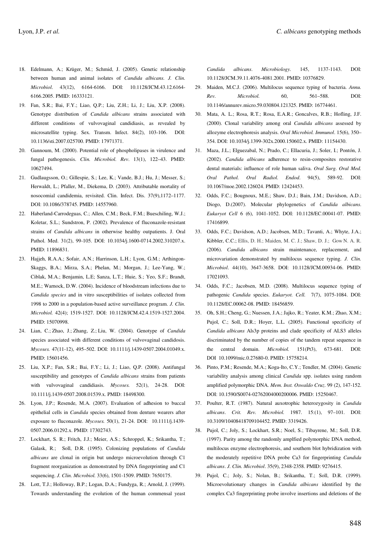- 18. Edelmann, A.; Krüger, M.; Schmid, J. (2005). Genetic relationship between human and animal isolates of *Candida albicans. J. Clin. Microbiol*. 43(12), 6164-6166. DOI: 10.1128/JCM.43.12.6164- 6166.2005. PMID: 16333121.
- 19. Fan, S.R.; Bai, F.Y.; Liao, Q.P.; Liu, Z.H.; Li, J.; Liu, X.P. (2008). Genotype distribution of *Candida albicans* strains associated with different conditions of vulvovaginal candidiasis, as revealed by microsatellite typing. Sex. Transm. Infect. 84(2), 103-106. DOI: 10.1136/sti.2007.025700. PMID: 17971371.
- 20. Gannoum, M. (2000). Potential role of phospholipases in virulence and fungal pathogenesis. *Clin. Microbiol. Rev*. 13(1), 122–43. PMID: 10627494.
- 21. Gudlaugsson, O.; Gillespie, S.; Lee, K.; Vande, B.J.; Hu, J.; Messer, S.; Herwaldt, L.; Pfaller, M., Diekema, D. (2003). Attributable mortality of nosocomial candidemia, revisited. Clin. Infect. Dis. 37(9),1172–1177. DOI: 10.1086/378745. PMID: 14557960.
- 22. Haberland-Carrodeguas, C.; Allen, C.M.; Beck, F.M.; Bueschiling, W.J.; Koletar, S.L.; Sundstron, P. (2002). Prevalence of fluconazole-resistant strains of *Candida albicans* in otherwise healthy outpatients. J. Oral Pathol. Med. 31(2), 99-105. DOI: 10.1034/j.1600-0714.2002.310207.x. PMID: 11896831.
- 23. Hajjeh, R.A.A.; Sofair, A.N.; Harrinson, L.H.; Lyon, G.M.; Arthingon-Skaggs, B.A.; Mirza, S.A.; Phelan, M.; Morgan, J.; Lee-Yang, W.; Ciblak, M.A.; Benjamin, L.E; Sanza, L.T.; Huie, S.; Yeo, S.F.; Brandt, M.E.; Warnock, D.W. (2004). Incidence of bloodstream infections due to *Candida species* and in vitro susceptibilities of isolates collected from 1998 to 2000 in a population-based active surveillance program. *J. Clin. Microbiol.* 42(4); 1519-1527. DOI: 10.1128/JCM.42.4.1519-1527.2004. PMID: 15070998.
- 24. Lian, C.; Zhao, J.; Zhang, Z.; Liu, W. (2004). Genotype of *Candida* species associated with different conditions of vulvovaginal candidosis. *Mycoses.* 47(11-12), 495–502. DOI: 10.1111/j.1439-0507.2004.01049.x. PMID: 15601456.
- 25. Liu, X.P.; Fan, S.R.; Bai, F.Y.; Li, J.; Liao, Q.P. (2008). Antifungal susceptibility and genotypes of *Candida albicans* strains from patients with vulvovaginal candidiasis. *Mycoses.* 52(1), 24-28. DOI: 10.1111/j.1439-0507.2008.01539.x. PMID: 18498300.
- 26. Lyon, J.P.; Resende, M.A. (2007). Evaluation of adhesion to buccal epithelial cells in *Candida* species obtained from denture wearers after exposure to fluconazole. *Mycoses.* 50(1), 21-24. DOI: 10.1111/j.1439- 0507.2006.01292.x. PMID: 17302743.
- 27. Lockhart, S. R.; Fritch, J.J.; Meier, A.S.; Schroppel, K.; Srikantha, T.; Galask, R.; Soll, D.R. (1995). Colonizing populations of *Candida albicans* are clonal in origin but undergo microevolution through C1 fragment reorganization as demonstrated by DNA fingerprinting and C1 sequencing. *J. Clin. Microbiol.* 33(6), 1501-1509. PMID: 7650175.
- 28. Lott, T.J.; Holloway, B.P.; Logan, D.A.; Fundyga, R.; Arnold, J. (1999). Towards understanding the evolution of the human commensal yeast

*Candida albicans*. *Microbiology.* 145, 1137-1143. DOI: 10.1128/JCM.39.11.4076-4081.2001. PMID: 10376829.

- 29. Maiden, M.C.J. (2006). Multilocus sequence typing of bacteria. *Annu. Rev. Microbiol.* 60, 561–588. DOI: 10.1146/annurev.micro.59.030804.121325. PMID: 16774461.
- 30. Mata, A. L.; Rosa, R.T.; Rosa, E.A.R.; Goncalves, R.B.; Hofling, J.F. (2000). Clonal variability among oral *Candida albicans* assessed by allozyme electrophoresis analysis. *Oral Microbiol. Immunol*. 15(6), 350– 354. DOI: 10.1034/j.1399-302x.2000.150602.x. PMID: 11154430.
- 31. Maza, J.L.; Elguezabal, N.; Prado, C.; Ellacuria, J.; Soler, I.; Pontón, J. (2002). *Candida albicans* adherence to resin-composites restorative dental materials: influence of role human saliva. *Oral Surg. Oral Med. Oral Pathol. Oral Radiol. Endod*. 94(5), 589-92. DOI: 10.1067/moe.2002.126024. PMID: 12424453.
- 32. Odds, F.C.; Bougnoux, M.E.; Shaw, D.J.; Bain, J.M.; Davidson, A.D.; Diogo, D.(2007). Molecular phylogenetics of *Candida albicans*. *Eukaryot Cell* 6 (6), 1041-1052. DOI: 10.1128/EC.00041-07. PMID: 17416899.
- 33. Odds, F.C.; Davidson, A.D.; Jacobsen, M.D.; Tavanti, A.; Whyte, J.A.; Kibbler, C.C.; Ellis, D. H.; Maiden, M. C. J.; Shaw, D. J.; Gow N. A. R. (2006). *Candida albicans* strain maintenance, replacement, and microvariation demonstrated by multilocus sequence typing. *J. Clin. Microbiol*. 44(10), 3647-3658. DOI: 10.1128/JCM.00934-06. PMID: 17021093.
- 34. Odds, F.C.; Jacobsen, M.D. (2008). Multilocus sequence typing of pathogenic *Candida* species. *Eukaryot. Cell.* 7(7), 1075-1084. DOI: 10.1128/EC.00062-08. PMID: 18456859.
- 35. Oh, S.H.; Cheng, G.; Nuessen, J.A.; Jajko, R.; Yeater, K.M.; Zhao, X.M.; Pujol, C.; Soll, D.R.; Hoyer, L.L. (2005). Functional specificity of *Candida albicans* Als3p proteins and clade specificity of ALS3 alleles discriminated by the number of copies of the tandem repeat sequence in the central domain. *Microbiol.* 151(Pt3), 673-681. DOI: DOI 10.1099/mic.0.27680-0. PMID: 15758214.
- 36. Pinto, P.M.; Resende, M.A.; Koga-Ito, C.Y.; Tendler, M. (2004). Genetic variability analysis among clinical *Candida* spp. isolates using random amplified polymorphic DNA. *Mem. Inst. Oswaldo Cruz*. 99 (2), 147-152. DOI: 10.1590/S0074-02762004000200006. PMID: 15250467.
- 37. Poulter, R.T. (1987). Natural auxotrophic heterozygosity in *Candida albicans*. *Crit. Rev. Microbiol.* 1987. 15:(1), 97–101. DOI: 10.3109/10408418709104452. PMID: 3319426.
- 38. Pujol, C.; Joly, S.; Lockhart, S.R.; Noel, S.; Tibayrene, M.; Soll, D.R. (1997). Parity among the randomly amplfied polymorphic DNA method, multilocus enzyme electrophoresis, and southern blot hybridization with the moderately repetitive DNA probe Ca3 for fingerprinting *Candida albicans*. *J. Clin. Microbiol*. 35(9), 2348-2358. PMID: 9276415.
- 39. Pujol, C.; Joly, S.; Nolan, B.; Srikantha, T.; Soll, D.R. (1999). Microevolutionary changes in *Candida albicans* identified by the complex Ca3 fingerprinting probe involve insertions and deletions of the